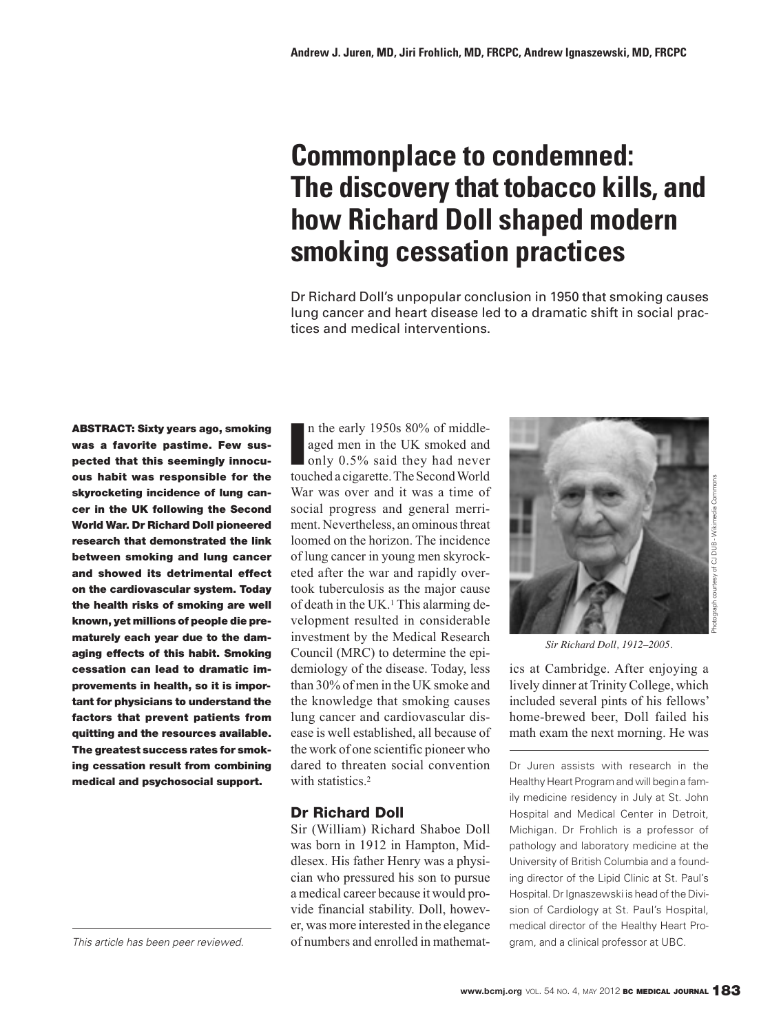# **Commonplace to condemned: The discovery that tobacco kills, and how Richard Doll shaped modern smoking cessation practices**

Dr Richard Doll's unpopular conclusion in 1950 that smoking causes lung cancer and heart disease led to a dramatic shift in social practices and medical interventions.

**ABSTRACT: Sixty years ago, smoking was a favorite pastime. Few sus**pected that this seemingly innocu**ous habit was responsible for the skyrocketing incidence of lung cancer in the UK following the Second World War. Dr Richard Doll pioneered re search that demonstrated the link between smoking and lung cancer** and showed its detrimental effect **on the cardiovascular system. Today the health risks of smoking are well known, yet millions of people die prematurely each year due to the damaging effects of this habit. Smoking cessation can lead to dramatic im provements in health, so it is important for physicians to understand the** factors that prevent patients from **quitting and the resourc es available. The greatest success rates for smoking cessation result from combining medical and psycho social support.**

**I** n the early 1950s 80% of middleaged men in the UK smoked and only 0.5% said they had never touched a cigarette. The Second World War was over and it was a time of social progress and general merriment. Nevertheless, an ominous threat loomed on the horizon. The incidence of lung cancer in young men skyrocketed after the war and rapidly overtook tuberculosis as the major cause of death in the UK.1 This alarming de velopment resulted in considerable investment by the Medical Research Council (MRC) to determine the epidemiology of the disease. Today, less than 30% of men in the UK smoke and the knowledge that smoking causes lung cancer and cardiovascular disease is well established, all because of the work of one scientific pioneer who dared to threaten social convention with statistics.<sup>2</sup>

# **Dr Richard Doll**

Sir (William) Richard Shaboe Doll was born in 1912 in Hampton, Middlesex. His father Henry was a physician who pressured his son to pursue a medical career because it would provide financial stability. Doll, however, was more interested in the elegance This article has been peer reviewed. of numbers and enrolled in mathemat- gram, and a clinical professor at UBC.



*Sir Richard Doll, 1912–2005.*

ics at Cambridge. After enjoying a lively dinner at Trinity College, which included several pints of his fellows' home-brewed beer, Doll failed his math exam the next morning. He was

Dr Juren assists with research in the Healthy Heart Program and will begin a family medicine residency in July at St. John Hospital and Medical Center in Detroit, Michigan. Dr Frohlich is a professor of pathology and laboratory medicine at the University of British Columbia and a founding director of the Lipid Clinic at St. Paul's Hospital. Dr Ignaszewski is head of the Division of Cardiology at St. Paul's Hospital, medical director of the Healthy Heart Pro-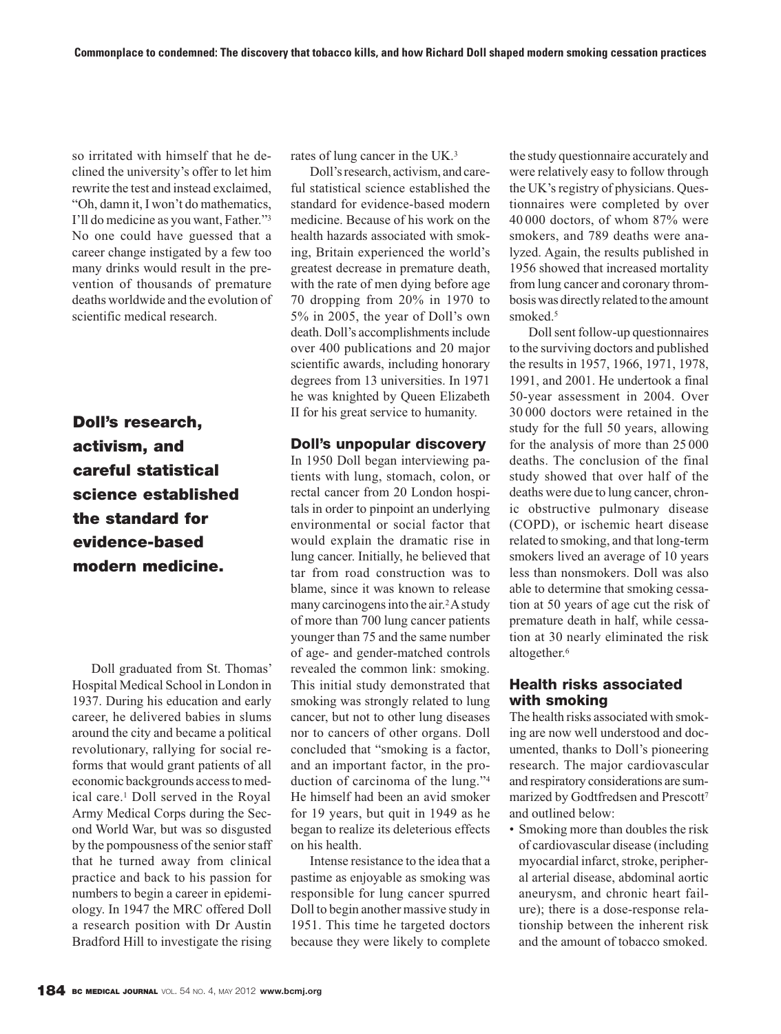so irritated with himself that he declined the university's offer to let him rewrite the test and instead exclaimed, "Oh, damn it, I won't do mathematics, I'll do medicine as you want, Father."3 No one could have guessed that a career change instigated by a few too many drinks would result in the prevention of thousands of premature deaths worldwide and the evolution of scientific medical research.

**Doll's research, activism, and careful statistical science established the standard for evidence-based modern medicine.** 

Doll graduated from St. Thomas' Hospital Medical School in London in 1937. During his education and early career, he delivered babies in slums around the city and became a political revolutionary, rallying for social reforms that would grant patients of all economic backgrounds access to medical care.1 Doll served in the Royal Army Medical Corps during the Second World War, but was so disgusted by the pompousness of the senior staff that he turned away from clinical practice and back to his passion for numbers to begin a career in epidemiology. In 1947 the MRC offered Doll a re search position with Dr Austin Bradford Hill to investigate the rising

rates of lung cancer in the UK.3

Doll's research, activism, and careful statistical science established the standard for evidence-based modern medicine. Because of his work on the health hazards associated with smoking, Britain experienced the world's greatest decrease in premature death, with the rate of men dying before age 70 dropping from 20% in 1970 to 5% in 2005, the year of Doll's own death. Doll's accomplishments include over 400 publications and 20 major scientific awards, including honorary degrees from 13 universities. In 1971 he was knighted by Queen Elizabeth II for his great service to humanity.

### **Doll's unpopular discovery**

In 1950 Doll began interviewing patients with lung, stomach, colon, or rectal cancer from 20 London hospitals in order to pinpoint an underlying environmental or social factor that would explain the dramatic rise in lung cancer. Initially, he believed that tar from road construction was to blame, since it was known to release many carcinogens into the air.<sup>2</sup> A study of more than 700 lung cancer patients younger than 75 and the same number of age- and gender-matched controls revealed the common link: smoking. This initial study demonstrated that smoking was strongly related to lung cancer, but not to other lung diseases nor to cancers of other organs. Doll concluded that "smoking is a factor, and an important factor, in the production of carcinoma of the lung."4 He himself had been an avid smoker for 19 years, but quit in 1949 as he began to realize its deleterious effects on his health.

Intense resistance to the idea that a pastime as enjoyable as smoking was responsible for lung cancer spurred Doll to begin another massive study in 1951. This time he targeted doctors because they were likely to complete the study questionnaire accurately and were relatively easy to follow through the UK's registry of physicians. Questionnaires were completed by over 40 000 doctors, of whom 87% were smokers, and 789 deaths were analyzed. Again, the results published in 1956 showed that increased mortality from lung cancer and coronary thrombosis was directly related to the amount smoked.<sup>5</sup>

Doll sent follow-up questionnaires to the surviving doctors and published the results in 1957, 1966, 1971, 1978, 1991, and 2001. He undertook a final 50-year assessment in 2004. Over 30 000 doctors were retained in the study for the full 50 years, allowing for the analysis of more than 25 000 deaths. The conclusion of the final study showed that over half of the deaths were due to lung cancer, chronic obstructive pulmonary disease (COPD), or ischemic heart disease related to smoking, and that long-term smokers lived an average of 10 years less than nonsmokers. Doll was also able to determine that smoking cessation at 50 years of age cut the risk of premature death in half, while cessation at 30 nearly eliminated the risk altogether.<sup>6</sup>

# **Health risks associated with smoking**

The health risks associated with smoking are now well understood and documented, thanks to Doll's pioneering research. The major cardiovascular and respiratory considerations are summarized by Godtfredsen and Prescott7 and outlined below:

• Smoking more than doubles the risk of cardiovascular disease (including myocardial infarct, stroke, peripheral arterial disease, abdominal aortic aneurysm, and chronic heart failure); there is a dose-response relationship between the inherent risk and the amount of tobacco smoked.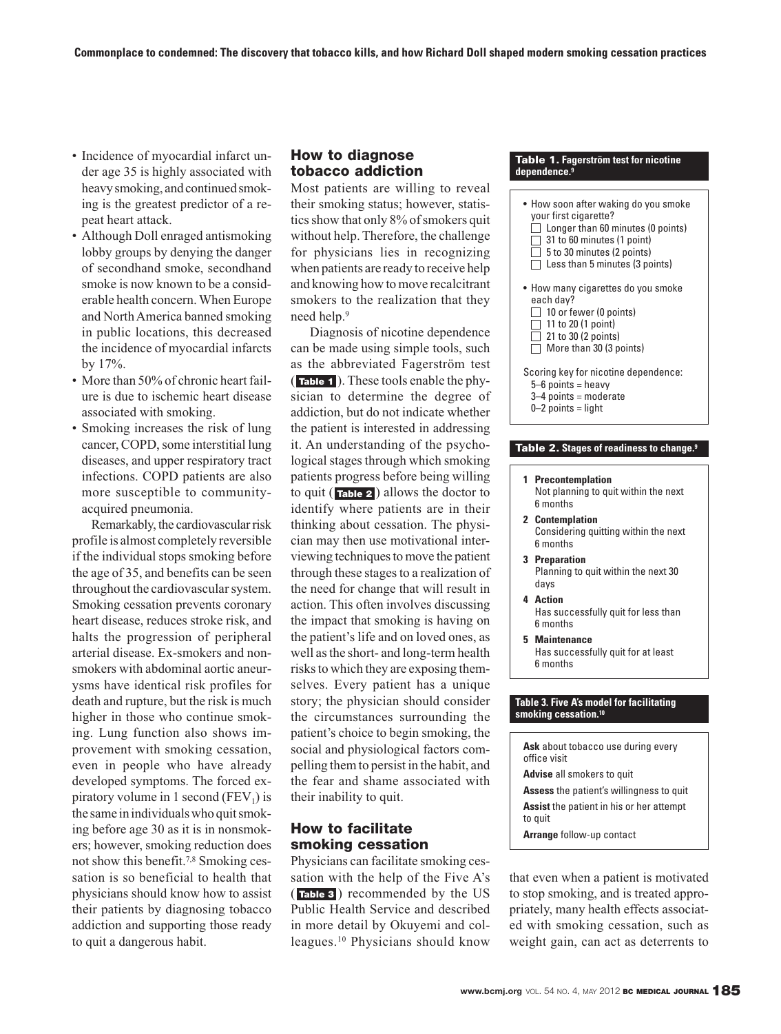- Incidence of myocardial infarct un der age 35 is highly associated with heavy smoking, and continued smoking is the greatest predictor of a repeat heart attack.
- Although Doll enraged antismoking lobby groups by denying the danger of secondhand smoke, secondhand smoke is now known to be a considerable health concern. When Europe and North America banned smoking in public locations, this decreased the incidence of myocardial infarcts by 17%.
- More than 50% of chronic heart failure is due to ischemic heart disease associated with smoking.
- Smoking increases the risk of lung cancer, COPD, some interstitial lung diseases, and upper respiratory tract infections. COPD patients are also more susceptible to communityacquired pneumonia.

Remarkably, the cardiovascular risk profile is almost completely reversible if the individual stops smoking before the age of 35, and benefits can be seen throughout the cardiovascular system. Smoking cessation prevents coronary heart disease, reduces stroke risk, and halts the progression of peripheral arterial disease. Ex-smokers and nonsmokers with abdominal aortic aneurysms have identical risk profiles for death and rupture, but the risk is much higher in those who continue smoking. Lung function also shows im provement with smoking cessation, even in people who have already developed symptoms. The forced expiratory volume in 1 second ( $FEV<sub>1</sub>$ ) is the same in individuals who quit smoking before age 30 as it is in nonsmokers; however, smoking reduction does not show this benefit.7,8 Smoking cessation is so beneficial to health that physicians should know how to assist their patients by diagnosing tobacco addiction and supporting those ready to quit a dangerous habit.

# **How to diagnose tobacco addiction**

Most patients are willing to reveal their smoking status; however, statistics show that only 8% of smokers quit without help. Therefore, the challenge for physicians lies in recognizing when patients are ready to receive help and knowing how to move recalcitrant smokers to the realization that they need help.9

Diagnosis of nicotine dependence can be made using simple tools, such as the abbreviated Fagerström test (Table 1). These tools enable the physician to determine the degree of addiction, but do not indicate whether the patient is interested in addressing it. An understanding of the psychological stages through which smoking patients progress before being willing to quit (**Table 2**) allows the doctor to identify where patients are in their thinking about cessation. The physician may then use motivational interviewing techniques to move the patient through these stages to a realization of the need for change that will result in action. This often involves discussing the impact that smoking is having on the patient's life and on loved ones, as well as the short- and long-term health risks to which they are exposing themselves. Every patient has a unique story; the physician should consider the circumstances surrounding the patient's choice to begin smoking, the social and physiological factors compelling them to persist in the habit, and the fear and shame associated with their inability to quit.

# **How to facilitate smoking cessation**

Physicians can facilitate smoking cessation with the help of the Five A's (Table 3) recommended by the US Public Health Service and described in more detail by Okuyemi and colleagues.10 Physicians should know

#### **Table 1. Fagerström test for nicotine dependence.9**

- How soon after waking do you smoke your first cigarette?  $\bigcap$  Longer than 60 minutes (0 points)  $\Box$  31 to 60 minutes (1 point)  $\Box$  5 to 30 minutes (2 points)  $\Box$  Less than 5 minutes (3 points) • How many cigarettes do you smoke each day?  $\Box$  10 or fewer (0 points)  $\Box$  11 to 20 (1 point)  $\Box$  21 to 30 (2 points)  $\Box$  More than 30 (3 points) Scoring key for nicotine dependence:  $5-6$  points = heavy 3–4 points = moderate
	- $0-2$  points = light

#### **Table 2. Stages of readiness to change.9**

- **1 Precontemplation** Not planning to quit within the next 6 months
- **2 Contemplation** Considering quitting within the next 6 months
- **3 Preparation** Planning to quit within the next 30 days
- **4 Action** Has successfully quit for less than 6 months
- **5 Maintenance** Has successfully quit for at least 6 months

#### **Table 3. Five A's model for facilitating smoking cessation.10**

**Ask** about tobacco use during every office visit

**Advise** all smokers to quit

**Assess** the patient's willingness to quit **Assist** the patient in his or her attempt to quit

**Arrange** follow-up contact

that even when a patient is motivated to stop smoking, and is treated appropriately, many health effects associated with smoking cessation, such as weight gain, can act as deterrents to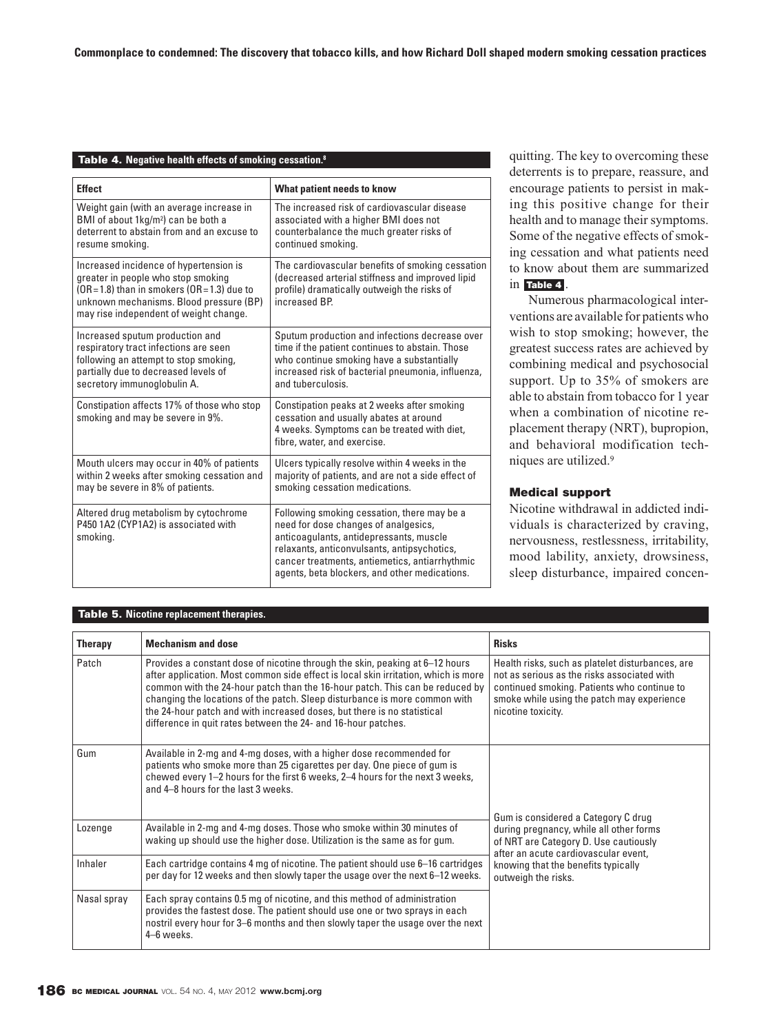#### **Table 4. Negative health effects of smoking cessation.8**

| <b>Effect</b>                                                                                                                                                                                                         | What patient needs to know                                                                                                                                                                                                                                                       |  |
|-----------------------------------------------------------------------------------------------------------------------------------------------------------------------------------------------------------------------|----------------------------------------------------------------------------------------------------------------------------------------------------------------------------------------------------------------------------------------------------------------------------------|--|
| Weight gain (with an average increase in<br>BMI of about 1kg/m <sup>2</sup> ) can be both a<br>deterrent to abstain from and an excuse to<br>resume smoking.                                                          | The increased risk of cardiovascular disease<br>associated with a higher BMI does not<br>counterbalance the much greater risks of<br>continued smoking.                                                                                                                          |  |
| Increased incidence of hypertension is<br>greater in people who stop smoking<br>$(OR = 1.8)$ than in smokers $(OR = 1.3)$ due to<br>unknown mechanisms. Blood pressure (BP)<br>may rise independent of weight change. | The cardiovascular benefits of smoking cessation<br>(decreased arterial stiffness and improved lipid<br>profile) dramatically outweigh the risks of<br>increased BP.                                                                                                             |  |
| Increased sputum production and<br>respiratory tract infections are seen<br>following an attempt to stop smoking,<br>partially due to decreased levels of<br>secretory immunoglobulin A.                              | Sputum production and infections decrease over<br>time if the patient continues to abstain. Those<br>who continue smoking have a substantially<br>increased risk of bacterial pneumonia, influenza,<br>and tuberculosis.                                                         |  |
| Constipation affects 17% of those who stop<br>smoking and may be severe in 9%.                                                                                                                                        | Constipation peaks at 2 weeks after smoking<br>cessation and usually abates at around<br>4 weeks. Symptoms can be treated with diet,<br>fibre, water, and exercise.                                                                                                              |  |
| Mouth ulcers may occur in 40% of patients<br>within 2 weeks after smoking cessation and<br>may be severe in 8% of patients.                                                                                           | Ulcers typically resolve within 4 weeks in the<br>majority of patients, and are not a side effect of<br>smoking cessation medications.                                                                                                                                           |  |
| Altered drug metabolism by cytochrome<br>P450 1A2 (CYP1A2) is associated with<br>smoking.                                                                                                                             | Following smoking cessation, there may be a<br>need for dose changes of analgesics,<br>anticoagulants, antidepressants, muscle<br>relaxants, anticonvulsants, antipsychotics,<br>cancer treatments, antiemetics, antiarrhythmic<br>agents, beta blockers, and other medications. |  |

quitting. The key to overcoming these deterrents is to prepare, reassure, and encourage patients to persist in making this positive change for their health and to manage their symptoms. Some of the negative effects of smoking cessation and what patients need to know about them are summarized  $\overline{\text{in}}$  **Table 4**.

Numerous pharmacological interventions are available for patients who wish to stop smoking; however, the greatest success rates are achieved by combining medical and psychosocial support. Up to 35% of smokers are able to abstain from tobacco for 1 year when a combination of nicotine replacement therapy (NRT), bupropion, and behavioral modification techniques are utilized.9

#### **Medical support**

Nicotine withdrawal in addicted individuals is characterized by craving, nervousness, restlessness, irritability, mood lability, anxiety, drowsiness, sleep disturbance, impaired concen-

### **Table 5. Nicotine replacement therapies.**

| <b>Therapy</b> | <b>Mechanism and dose</b>                                                                                                                                                                                                                                                                                                                                                                                                                                                    | <b>Risks</b>                                                                                                                                                                                                       |  |
|----------------|------------------------------------------------------------------------------------------------------------------------------------------------------------------------------------------------------------------------------------------------------------------------------------------------------------------------------------------------------------------------------------------------------------------------------------------------------------------------------|--------------------------------------------------------------------------------------------------------------------------------------------------------------------------------------------------------------------|--|
| Patch          | Provides a constant dose of nicotine through the skin, peaking at 6–12 hours<br>after application. Most common side effect is local skin irritation, which is more<br>common with the 24-hour patch than the 16-hour patch. This can be reduced by<br>changing the locations of the patch. Sleep disturbance is more common with<br>the 24-hour patch and with increased doses, but there is no statistical<br>difference in quit rates between the 24- and 16-hour patches. | Health risks, such as platelet disturbances, are<br>not as serious as the risks associated with<br>continued smoking. Patients who continue to<br>smoke while using the patch may experience<br>nicotine toxicity. |  |
| Gum            | Available in 2-mg and 4-mg doses, with a higher dose recommended for<br>patients who smoke more than 25 cigarettes per day. One piece of gum is<br>chewed every 1-2 hours for the first 6 weeks, 2-4 hours for the next 3 weeks,<br>and 4-8 hours for the last 3 weeks.                                                                                                                                                                                                      | Gum is considered a Category C drug                                                                                                                                                                                |  |
| Lozenge        | Available in 2-mg and 4-mg doses. Those who smoke within 30 minutes of<br>waking up should use the higher dose. Utilization is the same as for gum.                                                                                                                                                                                                                                                                                                                          | during pregnancy, while all other forms<br>of NRT are Category D. Use cautiously<br>after an acute cardiovascular event,<br>knowing that the benefits typically<br>outweigh the risks.                             |  |
| Inhaler        | Each cartridge contains 4 mg of nicotine. The patient should use 6–16 cartridges<br>per day for 12 weeks and then slowly taper the usage over the next 6-12 weeks.                                                                                                                                                                                                                                                                                                           |                                                                                                                                                                                                                    |  |
| Nasal spray    | Each spray contains 0.5 mg of nicotine, and this method of administration<br>provides the fastest dose. The patient should use one or two sprays in each<br>nostril every hour for 3–6 months and then slowly taper the usage over the next<br>4-6 weeks.                                                                                                                                                                                                                    |                                                                                                                                                                                                                    |  |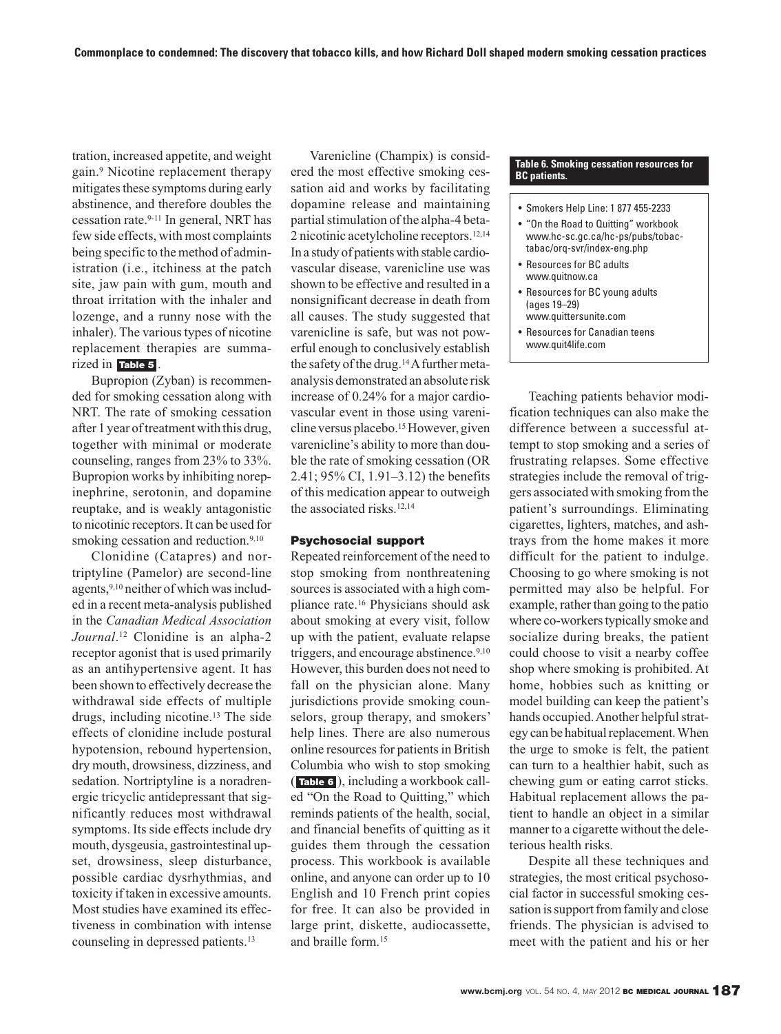tration, increased appetite, and weight gain.9 Nicotine replacement therapy mitigates these symptoms during early abstinence, and therefore doubles the cessation rate.9-11 In general, NRT has few side effects, with most complaints being specific to the method of administration (i.e., itchiness at the patch site, jaw pain with gum, mouth and throat irritation with the inhaler and lozenge, and a runny nose with the inhaler). The various types of nicotine replacement therapies are summarized in . **Table 5**

Bupropion (Zyban) is recommended for smoking cessation along with NRT. The rate of smoking cessation after 1 year of treatment with this drug, together with minimal or moderate counseling, ranges from 23% to 33%. Bupropion works by inhibiting norepinephrine, serotonin, and dopamine reuptake, and is weakly antagonistic to nicotinic receptors. It can be used for smoking cessation and reduction.<sup>9,10</sup>

Clonidine (Catapres) and nortripty line (Pamelor) are second-line agents,9,10 neither of which was included in a recent meta-analysis published in the *Canadian Medical Association Journal*. <sup>12</sup> Clonidine is an alpha-2 receptor agonist that is used primarily as an antihypertensive agent. It has been shown to effectively decrease the withdrawal side effects of multiple drugs, including nicotine.13 The side effects of clonidine include postural hypotension, rebound hypertension, dry mouth, drowsiness, dizziness, and sedation. Nortriptyline is a noradrenergic tricyclic antidepressant that significantly reduces most withdrawal symptoms. Its side effects include dry mouth, dysgeusia, gastrointestinal up set, drowsiness, sleep disturbance, possible cardiac dysrhythmias, and toxicity if taken in excessive amounts. Most studies have examined its effectiveness in combination with intense counseling in depressed patients.13

Varenicline (Champix) is considered the most effective smoking cessation aid and works by facilitating dopamine release and maintaining partial stimulation of the alpha-4 beta-2 nicotinic acetylcholine receptors.12,14 In a study of patients with stable cardiovascular disease, varenicline use was shown to be effective and resulted in a nonsignificant decrease in death from all causes. The study suggested that varenicline is safe, but was not powerful enough to conclusively establish the safety of the drug.14A further metaanalysis demonstrated an absolute risk increase of 0.24% for a major cardiovascular event in those using varenicline versus placebo.<sup>15</sup> However, given varenicline's ability to more than double the rate of smoking cessation (OR 2.41; 95% CI, 1.91–3.12) the benefits of this medication appear to outweigh the associated risks.12,14

#### **Psychosocial support**

Repeated reinforcement of the need to stop smoking from nonthreatening sources is associated with a high compliance rate.16 Physicians should ask about smoking at every visit, follow up with the patient, evaluate relapse triggers, and encourage abstinence.<sup>9,10</sup> However, this burden does not need to fall on the physician alone. Many jurisdictions provide smoking counselors, group therapy, and smokers' help lines. There are also numerous online resources for patients in British Columbia who wish to stop smoking (Table 6), including a workbook called "On the Road to Quitting," which reminds patients of the health, social, and financial benefits of quitting as it guides them through the cessation process. This workbook is available online, and anyone can order up to 10 English and 10 French print copies for free. It can also be provided in large print, diskette, audiocassette, and braille form.15

#### **Table 6. Smoking cessation resources for BC patients.**

- Smokers Help Line: 1 877 455-2233
- "On the Road to Quitting" workbook www.hc-sc.gc.ca/hc-ps/pubs/tobactabac/orq-svr/index-eng.php
- Resources for BC adults www.quitnow.ca
- Resources for BC young adults (ages 19–29) www.quittersunite.com
- Resources for Canadian teens www.quit4life.com

Teaching patients behavior modification techniques can also make the difference between a successful attempt to stop smoking and a series of frustrating relapses. Some effective strategies include the removal of triggers associated with smoking from the patient's surroundings. Eliminating cigarettes, lighters, matches, and ashtrays from the home makes it more difficult for the patient to indulge. Choosing to go where smoking is not permitted may also be helpful. For example, rather than going to the patio where co-workers typically smoke and socialize during breaks, the patient could choose to visit a nearby coffee shop where smoking is prohibited. At home, hobbies such as knitting or model building can keep the patient's hands occupied. Another helpful strategy can be habitual replacement. When the urge to smoke is felt, the patient can turn to a healthier habit, such as chewing gum or eating carrot sticks. Habitual replacement allows the patient to handle an object in a similar manner to a cigarette without the deleterious health risks.

Despite all these techniques and strategies, the most critical psychosocial factor in successful smoking cessation is support from family and close friends. The physician is advised to meet with the patient and his or her